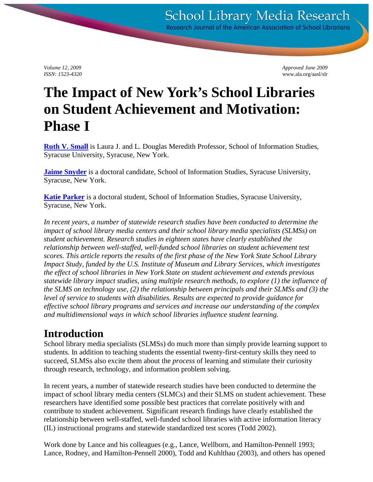*Volume 12, 2009 Approved June 2009 ISSN: 1523-4320* www.ala.org/aasl/slr

# **The Impact of New York's School Libraries on Student Achievement and Motivation: Phase I**

**[Ruth V. Small](mailto:drruth@syr.edu)** is Laura J. and L. Douglas Meredith Professor, School of Information Studies, Syracuse University, Syracuse, New York.

**[Jaime Snyder](mailto:jasnyd01@syr.edu)** is a doctoral candidate, School of Information Studies, Syracuse University, Syracuse, New York.

**[Katie Parker](mailto:mrskatieparker@gmail.com)** is a doctoral student, School of Information Studies, Syracuse University, Syracuse, New York.

*In recent years, a number of statewide research studies have been conducted to determine the impact of school library media centers and their school library media specialists (SLMSs) on student achievement. Research studies in eighteen states have clearly established the relationship between well-staffed, well-funded school libraries on student achievement test scores. This article reports the results of the first phase of the New York State School Library Impact Study, funded by the U.S. Institute of Museum and Library Services, which investigates the effect of school libraries in New York State on student achievement and extends previous statewide library impact studies, using multiple research methods, to explore (1) the influence of the SLMS on technology use, (2) the relationship between principals and their SLMSs and (3) the level of service to students with disabilities. Results are expected to provide guidance for effective school library programs and services and increase our understanding of the complex and multidimensional ways in which school libraries influence student learning.*

# **Introduction**

School library media specialists (SLMSs) do much more than simply provide learning support to students. In addition to teaching students the essential twenty-first-century skills they need to succeed, SLMSs also excite them about the *process* of learning and stimulate their curiosity through research, technology, and information problem solving.

In recent years, a number of statewide research studies have been conducted to determine the impact of school library media centers (SLMCs) and their SLMS on student achievement. These researchers have identified some possible best practices that correlate positively with and contribute to student achievement. Significant research findings have clearly established the relationship between well-staffed, well-funded school libraries with active information literacy (IL) instructional programs and statewide standardized test scores (Todd 2002).

Work done by Lance and his colleagues (e.g., Lance, Wellborn, and Hamilton-Pennell 1993; Lance, Rodney, and Hamilton-Pennell 2000), Todd and Kuhlthau (2003), and others has opened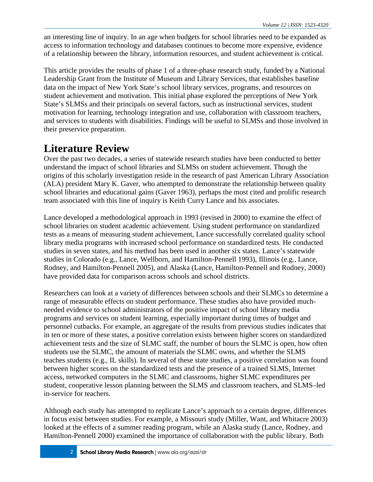an interesting line of inquiry. In an age when budgets for school libraries need to be expanded as access to information technology and databases continues to become more expensive, evidence of a relationship between the library, information resources, and student achievement is critical.

This article provides the results of phase 1 of a three-phase research study, funded by a National Leadership Grant from the Institute of Museum and Library Services, that establishes baseline data on the impact of New York State's school library services, programs, and resources on student achievement and motivation. This initial phase explored the perceptions of New York State's SLMSs and their principals on several factors, such as instructional services, student motivation for learning, technology integration and use, collaboration with classroom teachers, and services to students with disabilities. Findings will be useful to SLMSs and those involved in their preservice preparation.

# **Literature Review**

Over the past two decades, a series of statewide research studies have been conducted to better understand the impact of school libraries and SLMSs on student achievement. Though the origins of this scholarly investigation reside in the research of past American Library Association (ALA) president Mary K. Gaver, who attempted to demonstrate the relationship between quality school libraries and educational gains (Gaver 1963), perhaps the most cited and prolific research team associated with this line of inquiry is Keith Curry Lance and his associates.

Lance developed a methodological approach in 1993 (revised in 2000) to examine the effect of school libraries on student academic achievement. Using student performance on standardized tests as a means of measuring student achievement, Lance successfully correlated quality school library media programs with increased school performance on standardized tests. He conducted studies in seven states, and his method has been used in another six states. Lance's statewide studies in Colorado (e.g., Lance, Wellborn, and Hamilton-Pennell 1993), Illinois (e.g., Lance, Rodney, and Hamilton-Pennell 2005), and Alaska (Lance, Hamilton-Pennell and Rodney, 2000) have provided data for comparison across schools and school districts.

Researchers can look at a variety of differences between schools and their SLMCs to determine a range of measurable effects on student performance. These studies also have provided muchneeded evidence to school administrators of the positive impact of school library media programs and services on student learning, especially important during times of budget and personnel cutbacks. For example, an aggregate of the results from previous studies indicates that in ten or more of these states, a positive correlation exists between higher scores on standardized achievement tests and the size of SLMC staff, the number of hours the SLMC is open, how often students use the SLMC, the amount of materials the SLMC owns, and whether the SLMS teaches students (e.g., IL skills). In several of these state studies, a positive correlation was found between higher scores on the standardized tests and the presence of a trained SLMS, Internet access, networked computers in the SLMC and classrooms, higher SLMC expenditures per student, cooperative lesson planning between the SLMS and classroom teachers, and SLMS–led in-service for teachers.

Although each study has attempted to replicate Lance's approach to a certain degree, differences in focus exist between studies. For example, a Missouri study (Miller, Want, and Whitacre 2003) looked at the effects of a summer reading program, while an Alaska study (Lance, Rodney, and Hamilton-Pennell 2000) examined the importance of collaboration with the public library. Both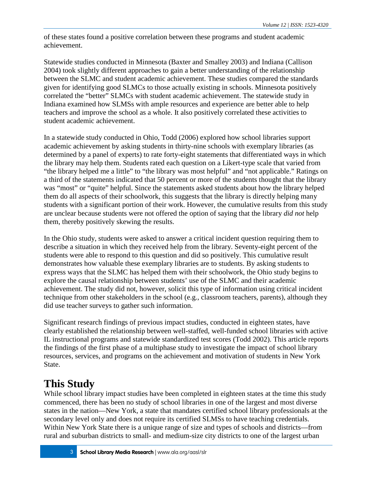of these states found a positive correlation between these programs and student academic achievement.

Statewide studies conducted in Minnesota (Baxter and Smalley 2003) and Indiana (Callison 2004) took slightly different approaches to gain a better understanding of the relationship between the SLMC and student academic achievement. These studies compared the standards given for identifying good SLMCs to those actually existing in schools. Minnesota positively correlated the "better" SLMCs with student academic achievement. The statewide study in Indiana examined how SLMSs with ample resources and experience are better able to help teachers and improve the school as a whole. It also positively correlated these activities to student academic achievement.

In a statewide study conducted in Ohio, Todd (2006) explored how school libraries support academic achievement by asking students in thirty-nine schools with exemplary libraries (as determined by a panel of experts) to rate forty-eight statements that differentiated ways in which the library may help them. Students rated each question on a Likert-type scale that varied from "the library helped me a little" to "the library was most helpful" and "not applicable." Ratings on a third of the statements indicated that 50 percent or more of the students thought that the library was "most" or "quite" helpful. Since the statements asked students about how the library helped them do all aspects of their schoolwork, this suggests that the library is directly helping many students with a significant portion of their work. However, the cumulative results from this study are unclear because students were not offered the option of saying that the library *did not* help them, thereby positively skewing the results.

In the Ohio study, students were asked to answer a critical incident question requiring them to describe a situation in which they received help from the library. Seventy-eight percent of the students were able to respond to this question and did so positively. This cumulative result demonstrates how valuable these exemplary libraries are to students. By asking students to express ways that the SLMC has helped them with their schoolwork, the Ohio study begins to explore the causal relationship between students' use of the SLMC and their academic achievement. The study did not, however, solicit this type of information using critical incident technique from other stakeholders in the school (e.g., classroom teachers, parents), although they did use teacher surveys to gather such information.

Significant research findings of previous impact studies, conducted in eighteen states, have clearly established the relationship between well-staffed, well-funded school libraries with active IL instructional programs and statewide standardized test scores (Todd 2002). This article reports the findings of the first phase of a multiphase study to investigate the impact of school library resources, services, and programs on the achievement and motivation of students in New York State.

# **This Study**

While school library impact studies have been completed in eighteen states at the time this study commenced, there has been no study of school libraries in one of the largest and most diverse states in the nation—New York, a state that mandates certified school library professionals at the secondary level only and does not require its certified SLMSs to have teaching credentials. Within New York State there is a unique range of size and types of schools and districts—from rural and suburban districts to small- and medium-size city districts to one of the largest urban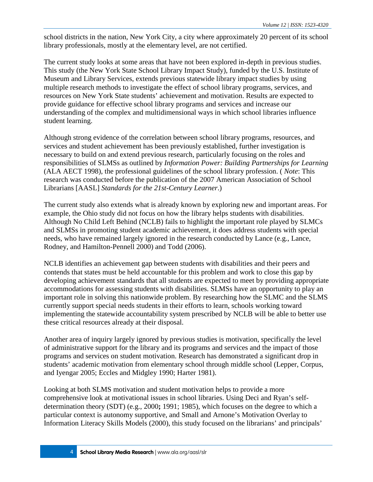school districts in the nation, New York City, a city where approximately 20 percent of its school library professionals, mostly at the elementary level, are not certified.

The current study looks at some areas that have not been explored in-depth in previous studies. This study (the New York State School Library Impact Study), funded by the U.S. Institute of Museum and Library Services, extends previous statewide library impact studies by using multiple research methods to investigate the effect of school library programs, services, and resources on New York State students' achievement and motivation. Results are expected to provide guidance for effective school library programs and services and increase our understanding of the complex and multidimensional ways in which school libraries influence student learning.

Although strong evidence of the correlation between school library programs, resources, and services and student achievement has been previously established, further investigation is necessary to build on and extend previous research, particularly focusing on the roles and responsibilities of SLMSs as outlined by *Information Power: Building Partnerships for Learning* (ALA AECT 1998), the professional guidelines of the school library profession. ( *Note*: This research was conducted before the publication of the 2007 American Association of School Librarians [AASL] *Standards for the 21st-Century Learner*.)

The current study also extends what is already known by exploring new and important areas. For example, the Ohio study did not focus on how the library helps students with disabilities. Although No Child Left Behind (NCLB) fails to highlight the important role played by SLMCs and SLMSs in promoting student academic achievement, it does address students with special needs, who have remained largely ignored in the research conducted by Lance (e.g., Lance, Rodney, and Hamilton-Pennell 2000) and Todd (2006).

NCLB identifies an achievement gap between students with disabilities and their peers and contends that states must be held accountable for this problem and work to close this gap by developing achievement standards that all students are expected to meet by providing appropriate accommodations for assessing students with disabilities. SLMSs have an opportunity to play an important role in solving this nationwide problem. By researching how the SLMC and the SLMS currently support special needs students in their efforts to learn, schools working toward implementing the statewide accountability system prescribed by NCLB will be able to better use these critical resources already at their disposal.

Another area of inquiry largely ignored by previous studies is motivation, specifically the level of administrative support for the library and its programs and services and the impact of those programs and services on student motivation. Research has demonstrated a significant drop in students' academic motivation from elementary school through middle school (Lepper, Corpus, and Iyengar 2005; Eccles and Midgley 1990; Harter 1981).

Looking at both SLMS motivation and student motivation helps to provide a more comprehensive look at motivational issues in school libraries. Using Deci and Ryan's selfdetermination theory (SDT) (e.g., 2000**;** 1991; 1985), which focuses on the degree to which a particular context is autonomy supportive, and Small and Arnone's Motivation Overlay to Information Literacy Skills Models (2000), this study focused on the librarians' and principals'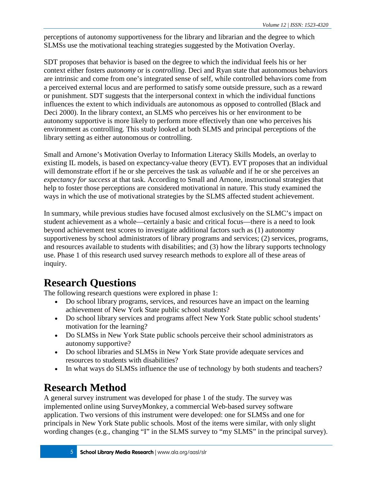perceptions of autonomy supportiveness for the library and librarian and the degree to which SLMSs use the motivational teaching strategies suggested by the Motivation Overlay.

SDT proposes that behavior is based on the degree to which the individual feels his or her context either fosters *autonomy* or is *controlling*. Deci and Ryan state that autonomous behaviors are intrinsic and come from one's integrated sense of self, while controlled behaviors come from a perceived external locus and are performed to satisfy some outside pressure, such as a reward or punishment. SDT suggests that the interpersonal context in which the individual functions influences the extent to which individuals are autonomous as opposed to controlled (Black and Deci 2000). In the library context, an SLMS who perceives his or her environment to be autonomy supportive is more likely to perform more effectively than one who perceives his environment as controlling. This study looked at both SLMS and principal perceptions of the library setting as either autonomous or controlling.

Small and Arnone's Motivation Overlay to Information Literacy Skills Models, an overlay to existing IL models, is based on expectancy-value theory (EVT). EVT proposes that an individual will demonstrate effort if he or she perceives the task as *valuable* and if he or she perceives an *expectancy for success* at that task. According to Small and Arnone, instructional strategies that help to foster those perceptions are considered motivational in nature. This study examined the ways in which the use of motivational strategies by the SLMS affected student achievement.

In summary, while previous studies have focused almost exclusively on the SLMC's impact on student achievement as a whole—certainly a basic and critical focus—there is a need to look beyond achievement test scores to investigate additional factors such as (1) autonomy supportiveness by school administrators of library programs and services; (2) services, programs, and resources available to students with disabilities; and (3) how the library supports technology use. Phase 1 of this research used survey research methods to explore all of these areas of inquiry.

# **Research Questions**

The following research questions were explored in phase 1:

- Do school library programs, services, and resources have an impact on the learning achievement of New York State public school students?
- Do school library services and programs affect New York State public school students' motivation for the learning?
- Do SLMSs in New York State public schools perceive their school administrators as autonomy supportive?
- Do school libraries and SLMSs in New York State provide adequate services and resources to students with disabilities?
- In what ways do SLMSs influence the use of technology by both students and teachers?

# **Research Method**

A general survey instrument was developed for phase 1 of the study. The survey was implemented online using SurveyMonkey, a commercial Web-based survey software application. Two versions of this instrument were developed: one for SLMSs and one for principals in New York State public schools. Most of the items were similar, with only slight wording changes (e.g., changing "I" in the SLMS survey to "my SLMS" in the principal survey).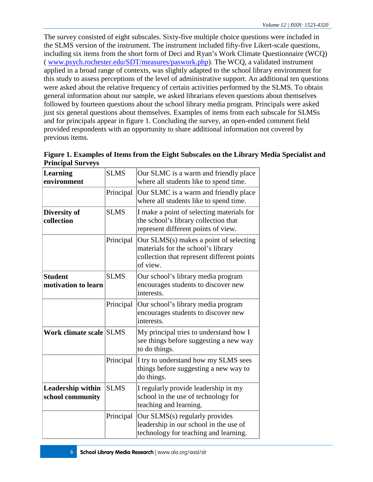The survey consisted of eight subscales. Sixty-five multiple choice questions were included in the SLMS version of the instrument. The instrument included fifty-five Likert-scale questions, including six items from the short form of Deci and Ryan's Work Climate Questionnaire (WCQ) ( [www.psych.rochester.edu/SDT/measures/paswork.php\)](http://www.psych.rochester.edu/SDT/measures/paswork.php). The WCQ, a validated instrument applied in a broad range of contexts, was slightly adapted to the school library environment for this study to assess perceptions of the level of administrative support. An additional ten questions were asked about the relative frequency of certain activities performed by the SLMS. To obtain general information about our sample, we asked librarians eleven questions about themselves followed by fourteen questions about the school library media program. Principals were asked just six general questions about themselves. Examples of items from each subscale for SLMSs and for principals appear in figure 1. Concluding the survey, an open-ended comment field provided respondents with an opportunity to share additional information not covered by previous items.

| <b>Learning</b><br>environment               | <b>SLMS</b> | Our SLMC is a warm and friendly place<br>where all students like to spend time.                                                        |  |  |
|----------------------------------------------|-------------|----------------------------------------------------------------------------------------------------------------------------------------|--|--|
|                                              | Principal   | Our SLMC is a warm and friendly place<br>where all students like to spend time.                                                        |  |  |
| Diversity of<br>collection                   | <b>SLMS</b> | I make a point of selecting materials for<br>the school's library collection that<br>represent different points of view.               |  |  |
|                                              | Principal   | Our SLMS(s) makes a point of selecting<br>materials for the school's library<br>collection that represent different points<br>of view. |  |  |
| <b>Student</b><br>motivation to learn        | <b>SLMS</b> | Our school's library media program<br>encourages students to discover new<br>interests.                                                |  |  |
|                                              | Principal   | Our school's library media program<br>encourages students to discover new<br>interests.                                                |  |  |
| Work climate scale SLMS                      |             | My principal tries to understand how I<br>see things before suggesting a new way<br>to do things.                                      |  |  |
|                                              | Principal   | I try to understand how my SLMS sees<br>things before suggesting a new way to<br>do things.                                            |  |  |
| <b>Leadership within</b><br>school community | <b>SLMS</b> | I regularly provide leadership in my<br>school in the use of technology for<br>teaching and learning.                                  |  |  |
|                                              | Principal   | Our SLMS(s) regularly provides<br>leadership in our school in the use of<br>technology for teaching and learning.                      |  |  |

**Figure 1. Examples of Items from the Eight Subscales on the Library Media Specialist and Principal Surveys**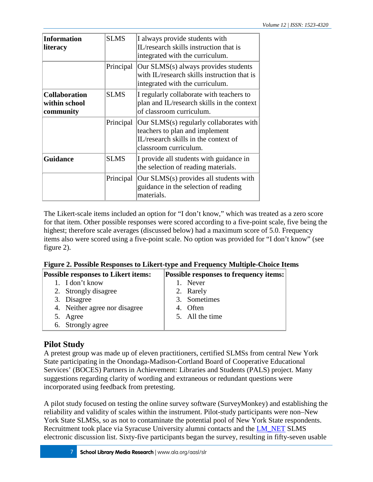| <b>Information</b><br><b>literacy</b>              | <b>SLMS</b> | I always provide students with<br>IL/research skills instruction that is<br>integrated with the curriculum.                                |
|----------------------------------------------------|-------------|--------------------------------------------------------------------------------------------------------------------------------------------|
|                                                    | Principal   | Our SLMS(s) always provides students<br>with IL/research skills instruction that is<br>integrated with the curriculum.                     |
| <b>Collaboration</b><br>within school<br>community | <b>SLMS</b> | I regularly collaborate with teachers to<br>plan and IL/research skills in the context<br>of classroom curriculum.                         |
|                                                    | Principal   | Our SLMS(s) regularly collaborates with<br>teachers to plan and implement<br>IL/research skills in the context of<br>classroom curriculum. |
| <b>Guidance</b>                                    | <b>SLMS</b> | I provide all students with guidance in<br>the selection of reading materials.                                                             |
|                                                    | Principal   | Our SLMS(s) provides all students with<br>guidance in the selection of reading<br>materials.                                               |

The Likert-scale items included an option for "I don't know," which was treated as a zero score for that item. Other possible responses were scored according to a five-point scale, five being the highest; therefore scale averages (discussed below) had a maximum score of 5.0. Frequency items also were scored using a five-point scale. No option was provided for "I don't know" (see figure 2).

|  | Figure 2. Possible Responses to Likert-type and Frequency Multiple-Choice Items |  |  |  |  |
|--|---------------------------------------------------------------------------------|--|--|--|--|
|--|---------------------------------------------------------------------------------|--|--|--|--|

| <b>Possible responses to Likert items:</b> | <b>Possible responses to frequency items:</b> |  |  |
|--------------------------------------------|-----------------------------------------------|--|--|
| 1. I don't know                            | 1. Never                                      |  |  |
| 2. Strongly disagree                       | 2. Rarely                                     |  |  |
| 3. Disagree                                | 3. Sometimes                                  |  |  |
| 4. Neither agree nor disagree              | 4. Often                                      |  |  |
| 5. Agree                                   | 5. All the time                               |  |  |
| 6. Strongly agree                          |                                               |  |  |

### **Pilot Study**

A pretest group was made up of eleven practitioners, certified SLMSs from central New York State participating in the Onondaga-Madison-Cortland Board of Cooperative Educational Services' (BOCES) Partners in Achievement: Libraries and Students (PALS) project. Many suggestions regarding clarity of wording and extraneous or redundant questions were incorporated using feedback from pretesting.

A pilot study focused on testing the online survey software (SurveyMonkey) and establishing the reliability and validity of scales within the instrument. Pilot-study participants were non–New York State SLMSs, so as not to contaminate the potential pool of New York State respondents. Recruitment took place via Syracuse University alumni contacts and the **LM\_NET SLMS** electronic discussion list. Sixty-five participants began the survey, resulting in fifty-seven usable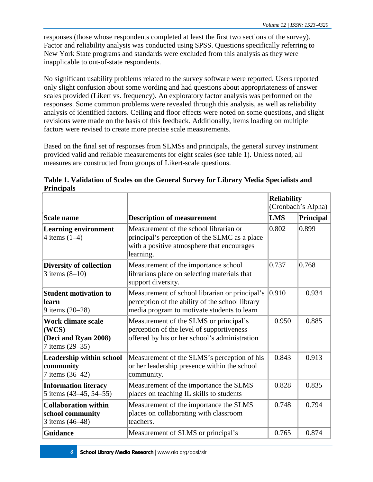responses (those whose respondents completed at least the first two sections of the survey). Factor and reliability analysis was conducted using SPSS. Questions specifically referring to New York State programs and standards were excluded from this analysis as they were inapplicable to out-of-state respondents.

No significant usability problems related to the survey software were reported. Users reported only slight confusion about some wording and had questions about appropriateness of answer scales provided (Likert vs. frequency). An exploratory factor analysis was performed on the responses. Some common problems were revealed through this analysis, as well as reliability analysis of identified factors. Ceiling and floor effects were noted on some questions, and slight revisions were made on the basis of this feedback. Additionally, items loading on multiple factors were revised to create more precise scale measurements.

Based on the final set of responses from SLMSs and principals, the general survey instrument provided valid and reliable measurements for eight scales (see table 1). Unless noted, all measures are constructed from groups of Likert-scale questions.

|                                                                               |                                                                                                                                                    | <b>Reliability</b><br>(Cronbach's Alpha) |           |
|-------------------------------------------------------------------------------|----------------------------------------------------------------------------------------------------------------------------------------------------|------------------------------------------|-----------|
| <b>Scale name</b>                                                             | <b>Description of measurement</b>                                                                                                                  | <b>LMS</b>                               | Principal |
| <b>Learning environment</b><br>4 items $(1-4)$                                | Measurement of the school librarian or<br>principal's perception of the SLMC as a place<br>with a positive atmosphere that encourages<br>learning. | 0.802                                    | 0.899     |
| <b>Diversity of collection</b><br>3 items $(8-10)$                            | Measurement of the importance school<br>librarians place on selecting materials that<br>support diversity.                                         | 0.737                                    | 0.768     |
| <b>Student motivation to</b><br>learn<br>9 items (20-28)                      | Measurement of school librarian or principal's<br>perception of the ability of the school library<br>media program to motivate students to learn   | 0.910                                    | 0.934     |
| <b>Work climate scale</b><br>(WCS)<br>(Deci and Ryan 2008)<br>7 items (29–35) | Measurement of the SLMS or principal's<br>perception of the level of supportiveness<br>offered by his or her school's administration               | 0.950                                    | 0.885     |
| <b>Leadership within school</b><br>community<br>7 items (36-42)               | Measurement of the SLMS's perception of his<br>or her leadership presence within the school<br>community.                                          | 0.843                                    | 0.913     |
| <b>Information literacy</b><br>5 items (43–45, 54–55)                         | Measurement of the importance the SLMS<br>places on teaching IL skills to students                                                                 | 0.828                                    | 0.835     |
| <b>Collaboration within</b><br>school community<br>3 items (46–48)            | Measurement of the importance the SLMS<br>places on collaborating with classroom<br>teachers.                                                      | 0.748                                    | 0.794     |
| <b>Guidance</b>                                                               | Measurement of SLMS or principal's                                                                                                                 | 0.765                                    | 0.874     |

**Table 1. Validation of Scales on the General Survey for Library Media Specialists and Principals**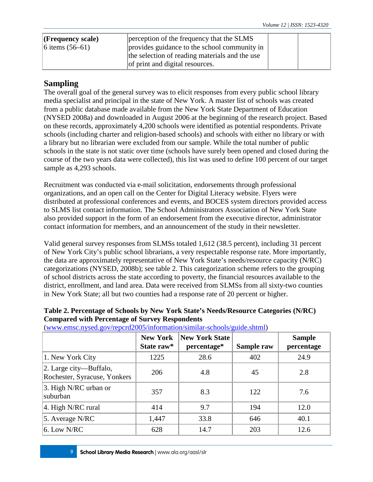| $ $ (Frequency scale) | perception of the frequency that the SLMS      |  |  |
|-----------------------|------------------------------------------------|--|--|
| 6 items $(56-61)$     | provides guidance to the school community in   |  |  |
|                       | the selection of reading materials and the use |  |  |
|                       | of print and digital resources.                |  |  |

### **Sampling**

The overall goal of the general survey was to elicit responses from every public school library media specialist and principal in the state of New York. A master list of schools was created from a public database made available from the New York State Department of Education (NYSED 2008a) and downloaded in August 2006 at the beginning of the research project. Based on these records, approximately 4,200 schools were identified as potential respondents. Private schools (including charter and religion-based schools) and schools with either no library or with a library but no librarian were excluded from our sample. While the total number of public schools in the state is not static over time (schools have surely been opened and closed during the course of the two years data were collected), this list was used to define 100 percent of our target sample as  $4,293$  schools.

Recruitment was conducted via e-mail solicitation, endorsements through professional organizations, and an open call on the Center for Digital Literacy website. Flyers were distributed at professional conferences and events, and BOCES system directors provided access to SLMS list contact information. The School Administrators Association of New York State also provided support in the form of an endorsement from the executive director, administrator contact information for members, and an announcement of the study in their newsletter.

Valid general survey responses from SLMSs totaled 1,612 (38.5 percent), including 31 percent of New York City's public school librarians, a very respectable response rate. More importantly, the data are approximately representative of New York State's needs/resource capacity (N/RC) categorizations (NYSED, 2008b); see table 2. This categorization scheme refers to the grouping of school districts across the state according to poverty, the financial resources available to the district, enrollment, and land area. Data were received from SLMSs from all sixty-two counties in New York State; all but two counties had a response rate of 20 percent or higher.

|                                                        | <b>New York</b><br>State raw* | <b>New York State</b><br>percentage* | Sample raw | <b>Sample</b><br>percentage |
|--------------------------------------------------------|-------------------------------|--------------------------------------|------------|-----------------------------|
| 1. New York City                                       | 1225                          | 28.6                                 | 402        | 24.9                        |
| 2. Large city—Buffalo,<br>Rochester, Syracuse, Yonkers | 206                           | 4.8                                  | 45         | 2.8                         |
| $\vert$ 3. High N/RC urban or<br>suburban              | 357                           | 8.3                                  | 122        | 7.6                         |
| $ 4$ . High N/RC rural                                 | 414                           | 9.7                                  | 194        | 12.0                        |
| 5. Average $N/RC$                                      | 1,447                         | 33.8                                 | 646        | 40.1                        |
| $6.$ Low N/RC                                          | 628                           | 14.7                                 | 203        | 12.6                        |

**Table 2. Percentage of Schools by New York State's Needs/Resource Categories (N/RC) Compared with Percentage of Survey Respondents**

[\(www.emsc.nysed.gov/repcrd2005/information/similar-schools/guide.shtml\)](http://www.emsc.nysed.gov/repcrd2005/information/similar-schools/guide.shtml)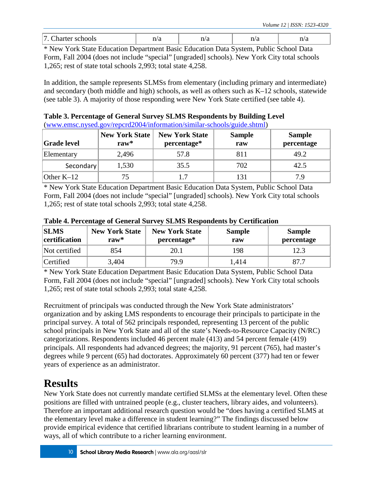| -<br>ノエレ | 11/ U |  |  |
|----------|-------|--|--|
|          |       |  |  |

\* New York State Education Department Basic Education Data System, Public School Data Form, Fall 2004 (does not include "special" [ungraded] schools). New York City total schools 1,265; rest of state total schools 2,993; total state 4,258.

In addition, the sample represents SLMSs from elementary (including primary and intermediate) and secondary (both middle and high) schools, as well as others such as K–12 schools, statewide (see table 3). A majority of those responding were New York State certified (see table 4).

**Table 3. Percentage of General Survey SLMS Respondents by Building Level** [\(www.emsc.nysed.gov/repcrd2004/information/similar-schools/guide.shtml\)](http://www.emsc.nysed.gov/repcrd2004/information/similar-schools/guide.shtml)

| <b>Grade level</b> | <b>New York State</b><br>ra $w^*$ | <b>New York State</b><br>percentage* | <b>Sample</b><br>raw | <b>Sample</b><br>percentage |
|--------------------|-----------------------------------|--------------------------------------|----------------------|-----------------------------|
| Elementary         | 2,496                             | 57.8                                 | 811                  | 49.2                        |
| Secondary          | 1,530                             | 35.5                                 | 702                  | 42.5                        |
| Other $K-12$       |                                   | $\overline{1}$                       | 131                  | 7 Q                         |

\* New York State Education Department Basic Education Data System, Public School Data Form, Fall 2004 (does not include "special" [ungraded] schools). New York City total schools 1,265; rest of state total schools 2,993; total state 4,258.

| <b>SLMS</b><br>certification | <b>New York State</b><br>raw $*$ | <b>New York State</b><br>percentage* | <b>Sample</b><br>raw | <b>Sample</b><br>percentage |
|------------------------------|----------------------------------|--------------------------------------|----------------------|-----------------------------|
| Not certified                | 854                              | 20.1                                 | 198                  | 12.3                        |
| <b>Certified</b>             | 3,404                            | 79.9                                 | l.414                | 87.7                        |

**Table 4. Percentage of General Survey SLMS Respondents by Certification**

\* New York State Education Department Basic Education Data System, Public School Data Form, Fall 2004 (does not include "special" [ungraded] schools). New York City total schools 1,265; rest of state total schools 2,993; total state 4,258.

Recruitment of principals was conducted through the New York State administrators' organization and by asking LMS respondents to encourage their principals to participate in the principal survey. A total of 562 principals responded, representing 13 percent of the public school principals in New York State and all of the state's Needs-to-Resource Capacity (N/RC) categorizations. Respondents included 46 percent male (413) and 54 percent female (419) principals. All respondents had advanced degrees; the majority, 91 percent (765), had master's degrees while 9 percent (65) had doctorates. Approximately 60 percent (377) had ten or fewer years of experience as an administrator.

# **Results**

New York State does not currently mandate certified SLMSs at the elementary level. Often these positions are filled with untrained people (e.g., cluster teachers, library aides, and volunteers). Therefore an important additional research question would be "does having a certified SLMS at the elementary level make a difference in student learning?" The findings discussed below provide empirical evidence that certified librarians contribute to student learning in a number of ways, all of which contribute to a richer learning environment.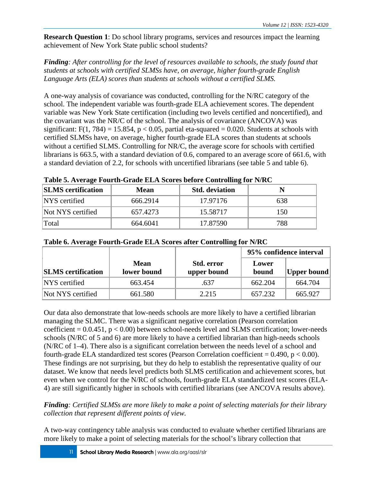**Research Question 1**: Do school library programs, services and resources impact the learning achievement of New York State public school students?

*Finding: After controlling for the level of resources available to schools, the study found that students at schools with certified SLMSs have, on average, higher fourth-grade English Language Arts (ELA) scores than students at schools without a certified SLMS.*

A one-way analysis of covariance was conducted, controlling for the N/RC category of the school. The independent variable was fourth-grade ELA achievement scores. The dependent variable was New York State certification (including two levels certified and noncertified), and the covariant was the NR/C of the school. The analysis of covariance (ANCOVA) was significant:  $F(1, 784) = 15.854$ ,  $p < 0.05$ , partial eta-squared = 0.020. Students at schools with certified SLMSs have, on average, higher fourth-grade ELA scores than students at schools without a certified SLMS. Controlling for NR/C, the average score for schools with certified librarians is 663.5, with a standard deviation of 0.6, compared to an average score of 661.6, with a standard deviation of 2.2, for schools with uncertified librarians (see table 5 and table 6).

| Table 5. Average Fourth-Grade ELA Scores before Controlling for N/RC |  |
|----------------------------------------------------------------------|--|
|----------------------------------------------------------------------|--|

| <b>SLMS</b> certification | <b>Mean</b> | <b>Std.</b> deviation |     |
|---------------------------|-------------|-----------------------|-----|
| NYS certified             | 666.2914    | 17.97176              | 638 |
| Not NYS certified         | 657.4273    | 15.58717              | 150 |
| Total                     | 664.6041    | 17.87590              | 788 |

|                           |                            |                           |                | 95% confidence interval |
|---------------------------|----------------------------|---------------------------|----------------|-------------------------|
| <b>SLMS</b> certification | <b>Mean</b><br>lower bound | Std. error<br>upper bound | Lower<br>bound | Upper bound             |
| NYS certified             | 663.454                    | .637                      | 662.204        | 664.704                 |
| Not NYS certified         | 661.580                    | 2.215                     | 657.232        | 665.927                 |

#### **Table 6. Average Fourth-Grade ELA Scores after Controlling for N/RC**

Our data also demonstrate that low-needs schools are more likely to have a certified librarian managing the SLMC. There was a significant negative correlation (Pearson correlation coefficient  $= 0.0.451$ ,  $p < 0.00$ ) between school-needs level and SLMS certification; lower-needs schools (N/RC of 5 and 6) are more likely to have a certified librarian than high-needs schools (N/RC of 1–4). There also is a significant correlation between the needs level of a school and fourth-grade ELA standardized test scores (Pearson Correlation coefficient  $= 0.490$ , p  $< 0.00$ ). These findings are not surprising, but they do help to establish the representative quality of our dataset. We know that needs level predicts both SLMS certification and achievement scores, but even when we control for the N/RC of schools, fourth-grade ELA standardized test scores (ELA-4) are still significantly higher in schools with certified librarians (see ANCOVA results above).

*Finding: Certified SLMSs are more likely to make a point of selecting materials for their library collection that represent different points of view.*

A two-way contingency table analysis was conducted to evaluate whether certified librarians are more likely to make a point of selecting materials for the school's library collection that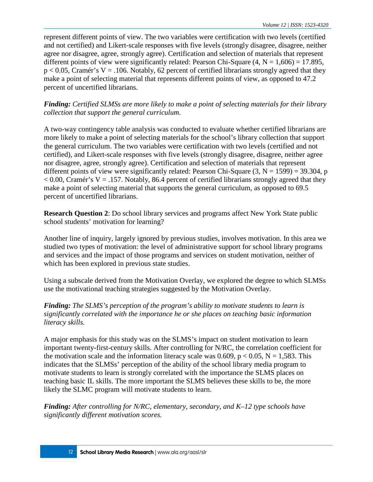represent different points of view. The two variables were certification with two levels (certified and not certified) and Likert-scale responses with five levels (strongly disagree, disagree, neither agree nor disagree, agree, strongly agree). Certification and selection of materials that represent different points of view were significantly related: Pearson Chi-Square  $(4, N = 1,606) = 17.895$ ,  $p < 0.05$ , Cramér's V = .106. Notably, 62 percent of certified librarians strongly agreed that they make a point of selecting material that represents different points of view, as opposed to 47.2 percent of uncertified librarians.

*Finding: Certified SLMSs are more likely to make a point of selecting materials for their library collection that support the general curriculum.*

A two-way contingency table analysis was conducted to evaluate whether certified librarians are more likely to make a point of selecting materials for the school's library collection that support the general curriculum. The two variables were certification with two levels (certified and not certified), and Likert-scale responses with five levels (strongly disagree, disagree, neither agree nor disagree, agree, strongly agree). Certification and selection of materials that represent different points of view were significantly related: Pearson Chi-Square  $(3, N = 1599) = 39.304$ , p  $< 0.00$ , Cramér's V = .157. Notably, 86.4 percent of certified librarians strongly agreed that they make a point of selecting material that supports the general curriculum, as opposed to 69.5 percent of uncertified librarians.

**Research Question 2**: Do school library services and programs affect New York State public school students' motivation for learning?

Another line of inquiry, largely ignored by previous studies, involves motivation. In this area we studied two types of motivation: the level of administrative support for school library programs and services and the impact of those programs and services on student motivation, neither of which has been explored in previous state studies.

Using a subscale derived from the Motivation Overlay, we explored the degree to which SLMSs use the motivational teaching strategies suggested by the Motivation Overlay.

*Finding: The SLMS's perception of the program's ability to motivate students to learn is significantly correlated with the importance he or she places on teaching basic information literacy skills.*

A major emphasis for this study was on the SLMS's impact on student motivation to learn important twenty-first-century skills. After controlling for N/RC, the correlation coefficient for the motivation scale and the information literacy scale was  $0.609$ ,  $p < 0.05$ ,  $N = 1.583$ . This indicates that the SLMSs' perception of the ability of the school library media program to motivate students to learn is strongly correlated with the importance the SLMS places on teaching basic IL skills. The more important the SLMS believes these skills to be, the more likely the SLMC program will motivate students to learn.

*Finding: After controlling for N/RC, elementary, secondary, and K–12 type schools have significantly different motivation scores.*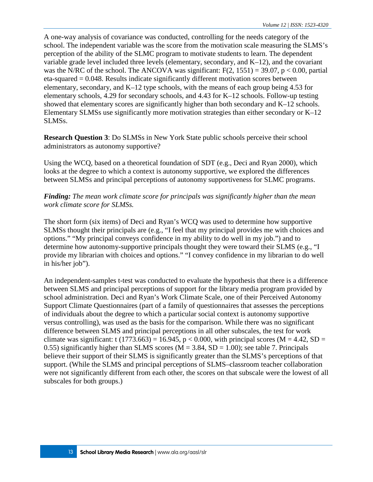A one-way analysis of covariance was conducted, controlling for the needs category of the school. The independent variable was the score from the motivation scale measuring the SLMS's perception of the ability of the SLMC program to motivate students to learn. The dependent variable grade level included three levels (elementary, secondary, and K–12), and the covariant was the N/RC of the school. The ANCOVA was significant:  $F(2, 1551) = 39.07$ , p < 0.00, partial  $eta$ -squared  $= 0.048$ . Results indicate significantly different motivation scores between elementary, secondary, and K–12 type schools, with the means of each group being 4.53 for elementary schools, 4.29 for secondary schools, and 4.43 for K–12 schools. Follow-up testing showed that elementary scores are significantly higher than both secondary and K–12 schools. Elementary SLMSs use significantly more motivation strategies than either secondary or K–12 SLMSs.

**Research Question 3**: Do SLMSs in New York State public schools perceive their school administrators as autonomy supportive?

Using the WCQ, based on a theoretical foundation of SDT (e.g., Deci and Ryan 2000), which looks at the degree to which a context is autonomy supportive, we explored the differences between SLMSs and principal perceptions of autonomy supportiveness for SLMC programs.

*Finding: The mean work climate score for principals was significantly higher than the mean work climate score for SLMSs.*

The short form (six items) of Deci and Ryan's WCQ was used to determine how supportive SLMSs thought their principals are (e.g., "I feel that my principal provides me with choices and options." "My principal conveys confidence in my ability to do well in my job.") and to determine how autonomy-supportive principals thought they were toward their SLMS (e.g., "I provide my librarian with choices and options." "I convey confidence in my librarian to do well in his/her job").

An independent-samples t-test was conducted to evaluate the hypothesis that there is a difference between SLMS and principal perceptions of support for the library media program provided by school administration. Deci and Ryan's Work Climate Scale, one of their Perceived Autonomy Support Climate Questionnaires (part of a family of questionnaires that assesses the perceptions of individuals about the degree to which a particular social context is autonomy supportive versus controlling), was used as the basis for the comparison. While there was no significant difference between SLMS and principal perceptions in all other subscales, the test for work climate was significant: t  $(1773.663) = 16.945$ , p < 0.000, with principal scores (M = 4.42, SD = 0.55) significantly higher than SLMS scores ( $M = 3.84$ , SD = 1.00); see table 7. Principals believe their support of their SLMS is significantly greater than the SLMS's perceptions of that support. (While the SLMS and principal perceptions of SLMS–classroom teacher collaboration were not significantly different from each other, the scores on that subscale were the lowest of all subscales for both groups.)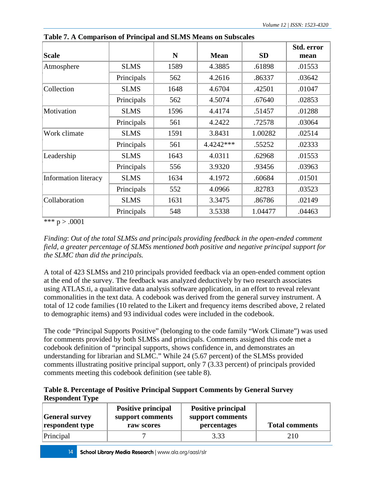| <b>Scale</b>                |             | N    | <b>Mean</b> | <b>SD</b> | Std. error<br>mean |
|-----------------------------|-------------|------|-------------|-----------|--------------------|
| Atmosphere                  | <b>SLMS</b> | 1589 | 4.3885      | .61898    | .01553             |
|                             | Principals  | 562  | 4.2616      | .86337    | .03642             |
| Collection                  | <b>SLMS</b> | 1648 | 4.6704      | .42501    | .01047             |
|                             | Principals  | 562  | 4.5074      | .67640    | .02853             |
| Motivation                  | <b>SLMS</b> | 1596 | 4.4174      | .51457    | .01288             |
|                             | Principals  | 561  | 4.2422      | .72578    | .03064             |
| Work climate                | <b>SLMS</b> | 1591 | 3.8431      | 1.00282   | .02514             |
|                             | Principals  | 561  | 4.4242***   | .55252    | .02333             |
| Leadership                  | <b>SLMS</b> | 1643 | 4.0311      | .62968    | .01553             |
|                             | Principals  | 556  | 3.9320      | .93456    | .03963             |
| <b>Information literacy</b> | <b>SLMS</b> | 1634 | 4.1972      | .60684    | .01501             |
|                             | Principals  | 552  | 4.0966      | .82783    | .03523             |
| Collaboration               | <b>SLMS</b> | 1631 | 3.3475      | .86786    | .02149             |
|                             | Principals  | 548  | 3.5338      | 1.04477   | .04463             |

**Table 7. A Comparison of Principal and SLMS Means on Subscales**

\*\*\*  $p > .0001$ 

*Finding*: *Out of the total SLMSs and principals providing feedback in the open-ended comment field, a greater percentage of SLMSs mentioned both positive and negative principal support for the SLMC than did the principals.*

A total of 423 SLMSs and 210 principals provided feedback via an open-ended comment option at the end of the survey. The feedback was analyzed deductively by two research associates using ATLAS.ti, a qualitative data analysis software application, in an effort to reveal relevant commonalities in the text data. A codebook was derived from the general survey instrument. A total of 12 code families (10 related to the Likert and frequency items described above, 2 related to demographic items) and 93 individual codes were included in the codebook.

The code "Principal Supports Positive" (belonging to the code family "Work Climate") was used for comments provided by both SLMSs and principals. Comments assigned this code met a codebook definition of "principal supports, shows confidence in, and demonstrates an understanding for librarian and SLMC." While 24 (5.67 percent) of the SLMSs provided comments illustrating positive principal support, only 7 (3.33 percent) of principals provided comments meeting this codebook definition (see table 8).

#### **Table 8. Percentage of Positive Principal Support Comments by General Survey Respondent Type**

| <b>General survey</b><br>respondent type | <b>Positive principal</b><br>support comments<br>raw scores | <b>Positive principal</b><br>support comments<br>percentages | <b>Total comments</b> |
|------------------------------------------|-------------------------------------------------------------|--------------------------------------------------------------|-----------------------|
| Principal                                |                                                             | 3.33                                                         | 210                   |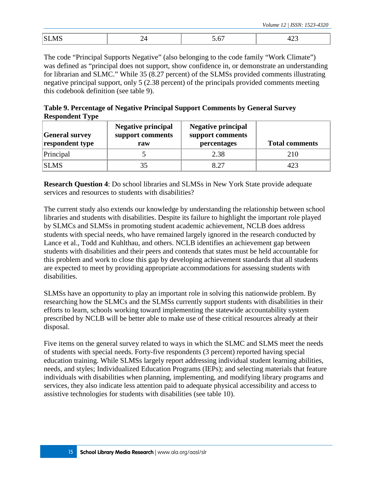|  | $\sim$ |
|--|--------|

The code "Principal Supports Negative" (also belonging to the code family "Work Climate") was defined as "principal does not support, show confidence in, or demonstrate an understanding for librarian and SLMC." While 35 (8.27 percent) of the SLMSs provided comments illustrating negative principal support, only 5 (2.38 percent) of the principals provided comments meeting this codebook definition (see table 9).

| Table 9. Percentage of Negative Principal Support Comments by General Survey |
|------------------------------------------------------------------------------|
| <b>Respondent Type</b>                                                       |

| <b>General survey</b><br>respondent type | <b>Negative principal</b><br>support comments<br>raw | <b>Negative principal</b><br>support comments<br>percentages | <b>Total comments</b> |
|------------------------------------------|------------------------------------------------------|--------------------------------------------------------------|-----------------------|
| Principal                                |                                                      | 2.38                                                         | 210                   |
| <b>SLMS</b>                              | 35                                                   | 8.27                                                         | 423                   |

**Research Question 4**: Do school libraries and SLMSs in New York State provide adequate services and resources to students with disabilities?

The current study also extends our knowledge by understanding the relationship between school libraries and students with disabilities. Despite its failure to highlight the important role played by SLMCs and SLMSs in promoting student academic achievement, NCLB does address students with special needs, who have remained largely ignored in the research conducted by Lance et al., Todd and Kuhlthau, and others. NCLB identifies an achievement gap between students with disabilities and their peers and contends that states must be held accountable for this problem and work to close this gap by developing achievement standards that all students are expected to meet by providing appropriate accommodations for assessing students with disabilities.

SLMSs have an opportunity to play an important role in solving this nationwide problem. By researching how the SLMCs and the SLMSs currently support students with disabilities in their efforts to learn, schools working toward implementing the statewide accountability system prescribed by NCLB will be better able to make use of these critical resources already at their disposal.

Five items on the general survey related to ways in which the SLMC and SLMS meet the needs of students with special needs. Forty-five respondents (3 percent) reported having special education training. While SLMSs largely report addressing individual student learning abilities, needs, and styles; Individualized Education Programs (IEPs); and selecting materials that feature individuals with disabilities when planning, implementing, and modifying library programs and services, they also indicate less attention paid to adequate physical accessibility and access to assistive technologies for students with disabilities (see table 10).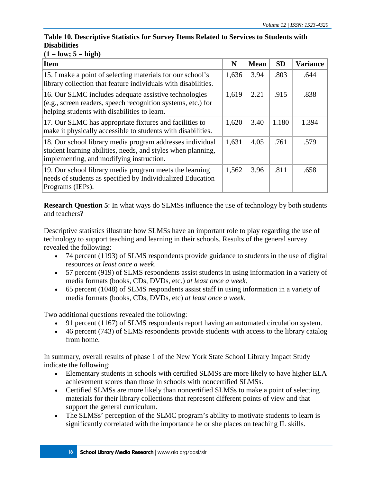#### **Table 10. Descriptive Statistics for Survey Items Related to Services to Students with Disabilities**

### $(1 = low; 5 = high)$

| Item                                                                                                                                                                    | N     | <b>Mean</b> | <b>SD</b> | <b>Variance</b> |
|-------------------------------------------------------------------------------------------------------------------------------------------------------------------------|-------|-------------|-----------|-----------------|
| 15. I make a point of selecting materials for our school's<br>library collection that feature individuals with disabilities.                                            | 1,636 | 3.94        | .803      | .644            |
| 16. Our SLMC includes adequate assistive technologies<br>$(e.g., screen readers, speech recognition systems, etc.) for$<br>helping students with disabilities to learn. | 1,619 | 2.21        | .915      | .838            |
| 17. Our SLMC has appropriate fixtures and facilities to<br>make it physically accessible to students with disabilities.                                                 | 1,620 | 3.40        | 1.180     | 1.394           |
| 18. Our school library media program addresses individual<br>student learning abilities, needs, and styles when planning,<br>implementing, and modifying instruction.   | 1,631 | 4.05        | .761      | .579            |
| 19. Our school library media program meets the learning<br>needs of students as specified by Individualized Education<br>Programs (IEPs).                               | 1,562 | 3.96        | .811      | .658            |

**Research Question 5**: In what ways do SLMSs influence the use of technology by both students and teachers?

Descriptive statistics illustrate how SLMSs have an important role to play regarding the use of technology to support teaching and learning in their schools. Results of the general survey revealed the following:

- 74 percent (1193) of SLMS respondents provide guidance to students in the use of digital resources *at least once a week*.
- 57 percent (919) of SLMS respondents assist students in using information in a variety of media formats (books, CDs, DVDs, etc.) *at least once a week*.
- 65 percent (1048) of SLMS respondents assist staff in using information in a variety of media formats (books, CDs, DVDs, etc) *at least once a week*.

Two additional questions revealed the following:

- 91 percent (1167) of SLMS respondents report having an automated circulation system.
- 46 percent (743) of SLMS respondents provide students with access to the library catalog from home.

In summary, overall results of phase 1 of the New York State School Library Impact Study indicate the following:

- Elementary students in schools with certified SLMSs are more likely to have higher ELA achievement scores than those in schools with noncertified SLMSs.
- Certified SLMSs are more likely than noncertified SLMSs to make a point of selecting materials for their library collections that represent different points of view and that support the general curriculum.
- The SLMSs' perception of the SLMC program's ability to motivate students to learn is significantly correlated with the importance he or she places on teaching IL skills.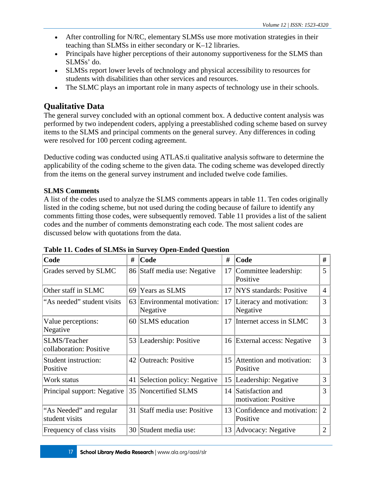- After controlling for N/RC, elementary SLMSs use more motivation strategies in their teaching than SLMSs in either secondary or K–12 libraries.
- Principals have higher perceptions of their autonomy supportiveness for the SLMS than SLMSs' do.
- SLMSs report lower levels of technology and physical accessibility to resources for students with disabilities than other services and resources.
- The SLMC plays an important role in many aspects of technology use in their schools.

### **Qualitative Data**

The general survey concluded with an optional comment box. A deductive content analysis was performed by two independent coders, applying a preestablished coding scheme based on survey items to the SLMS and principal comments on the general survey. Any differences in coding were resolved for 100 percent coding agreement.

Deductive coding was conducted using ATLAS.ti qualitative analysis software to determine the applicability of the coding scheme to the given data. The coding scheme was developed directly from the items on the general survey instrument and included twelve code families.

#### **SLMS Comments**

A list of the codes used to analyze the SLMS comments appears in table 11. Ten codes originally listed in the coding scheme, but not used during the coding because of failure to identify any comments fitting those codes, were subsequently removed. Table 11 provides a list of the salient codes and the number of comments demonstrating each code. The most salient codes are discussed below with quotations from the data.

| Code                                           | #  | Code                                     | #  | Code                                     | #              |
|------------------------------------------------|----|------------------------------------------|----|------------------------------------------|----------------|
| Grades served by SLMC                          |    | 86 Staff media use: Negative             | 17 | Committee leadership:<br>Positive        | 5              |
| Other staff in SLMC                            | 69 | Years as SLMS                            | 17 | NYS standards: Positive                  | 4              |
| "As needed" student visits                     |    | 63 Environmental motivation:<br>Negative | 17 | Literacy and motivation:<br>Negative     | 3              |
| Value perceptions:<br>Negative                 |    | 60 SLMS education                        | 17 | Internet access in SLMC                  | 3              |
| <b>SLMS/Teacher</b><br>collaboration: Positive |    | 53 Leadership: Positive                  |    | 16 External access: Negative             | 3              |
| Student instruction:<br>Positive               |    | 42 Outreach: Positive                    | 15 | Attention and motivation:<br>Positive    | 3              |
| Work status                                    | 41 | Selection policy: Negative               | 15 | Leadership: Negative                     | 3              |
| Principal support: Negative                    |    | 35 Noncertified SLMS                     | 14 | Satisfaction and<br>motivation: Positive | 3              |
| "As Needed" and regular<br>student visits      |    | 31 Staff media use: Positive             | 13 | Confidence and motivation:<br>Positive   | $\overline{2}$ |
| Frequency of class visits                      |    | 30 Student media use:                    |    | 13 Advocacy: Negative                    | $\overline{2}$ |

**Table 11. Codes of SLMSs in Survey Open-Ended Question**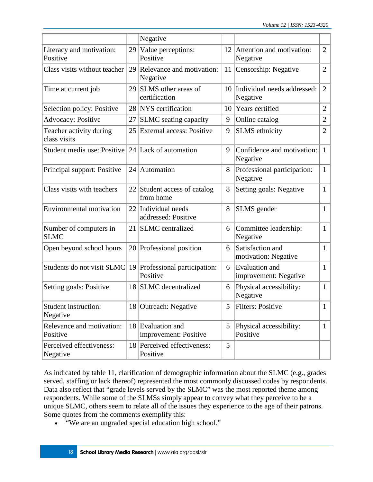|                                         |    | Negative                                   |    |                                                |                |
|-----------------------------------------|----|--------------------------------------------|----|------------------------------------------------|----------------|
| Literacy and motivation:<br>Positive    |    | 29 Value perceptions:<br>Positive          | 12 | Attention and motivation:<br>Negative          | $\overline{2}$ |
| Class visits without teacher            | 29 | Relevance and motivation:<br>Negative      | 11 | Censorship: Negative                           | $\overline{2}$ |
| Time at current job                     | 29 | SLMS other areas of<br>certification       |    | 10 Individual needs addressed:<br>Negative     | $\overline{2}$ |
| Selection policy: Positive              |    | 28 NYS certification                       | 10 | Years certified                                | $\overline{2}$ |
| <b>Advocacy: Positive</b>               | 27 | <b>SLMC</b> seating capacity               | 9  | Online catalog                                 | $\overline{2}$ |
| Teacher activity during<br>class visits |    | 25 External access: Positive               | 9  | <b>SLMS</b> ethnicity                          | $\overline{2}$ |
| Student media use: Positive             |    | 24 Lack of automation                      | 9  | Confidence and motivation:<br>Negative         | $\mathbf{1}$   |
| Principal support: Positive             |    | 24 Automation                              | 8  | Professional participation:<br>Negative        | $\mathbf{1}$   |
| Class visits with teachers              | 22 | Student access of catalog<br>from home     | 8  | Setting goals: Negative                        | $\mathbf{1}$   |
| <b>Environmental motivation</b>         |    | 22 Individual needs<br>addressed: Positive | 8  | SLMS gender                                    | $\mathbf{1}$   |
| Number of computers in<br><b>SLMC</b>   |    | 21 SLMC centralized                        | 6  | Committee leadership:<br>Negative              | $\mathbf{1}$   |
| Open beyond school hours                |    | 20 Professional position                   | 6  | Satisfaction and<br>motivation: Negative       | $\mathbf{1}$   |
| Students do not visit SLMC              |    | 19 Professional participation:<br>Positive | 6  | <b>Evaluation</b> and<br>improvement: Negative | $\mathbf{1}$   |
| Setting goals: Positive                 | 18 | <b>SLMC</b> decentralized                  | 6  | Physical accessibility:<br>Negative            | $\mathbf{1}$   |
| Student instruction:<br>Negative        |    | 18 Outreach: Negative                      | 5  | Filters: Positive                              | $\perp$        |
| Relevance and motivation:<br>Positive   |    | 18 Evaluation and<br>improvement: Positive | 5  | Physical accessibility:<br>Positive            | $\mathbf{1}$   |
| Perceived effectiveness:<br>Negative    |    | 18 Perceived effectiveness:<br>Positive    | 5  |                                                |                |

As indicated by table 11, clarification of demographic information about the SLMC (e.g., grades served, staffing or lack thereof) represented the most commonly discussed codes by respondents. Data also reflect that "grade levels served by the SLMC" was the most reported theme among respondents. While some of the SLMSs simply appear to convey what they perceive to be a unique SLMC, others seem to relate all of the issues they experience to the age of their patrons. Some quotes from the comments exemplify this:

• "We are an ungraded special education high school."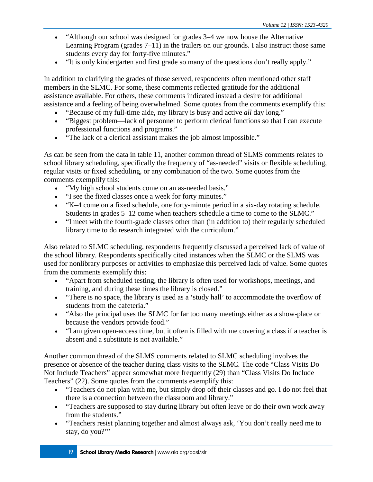- "Although our school was designed for grades 3–4 we now house the Alternative Learning Program (grades  $7-11$ ) in the trailers on our grounds. I also instruct those same students every day for forty-five minutes."
- "It is only kindergarten and first grade so many of the questions don't really apply."

In addition to clarifying the grades of those served, respondents often mentioned other staff members in the SLMC. For some, these comments reflected gratitude for the additional assistance available. For others, these comments indicated instead a desire for additional assistance and a feeling of being overwhelmed. Some quotes from the comments exemplify this:

- "Because of my full-time aide, my library is busy and active *all* day long."
- "Biggest problem—lack of personnel to perform clerical functions so that I can execute professional functions and programs."
- "The lack of a clerical assistant makes the job almost impossible."

As can be seen from the data in table 11, another common thread of SLMS comments relates to school library scheduling, specifically the frequency of "as-needed" visits or flexible scheduling, regular visits or fixed scheduling, or any combination of the two. Some quotes from the comments exemplify this:

- "My high school students come on an as-needed basis."
- "I see the fixed classes once a week for forty minutes."
- "K–4 come on a fixed schedule, one forty-minute period in a six-day rotating schedule. Students in grades 5–12 come when teachers schedule a time to come to the SLMC."
- "I meet with the fourth-grade classes other than (in addition to) their regularly scheduled library time to do research integrated with the curriculum."

Also related to SLMC scheduling, respondents frequently discussed a perceived lack of value of the school library. Respondents specifically cited instances when the SLMC or the SLMS was used for nonlibrary purposes or activities to emphasize this perceived lack of value. Some quotes from the comments exemplify this:

- "Apart from scheduled testing, the library is often used for workshops, meetings, and training, and during these times the library is closed."
- "There is no space, the library is used as a 'study hall' to accommodate the overflow of students from the cafeteria."
- "Also the principal uses the SLMC for far too many meetings either as a show-place or because the vendors provide food."
- "I am given open-access time, but it often is filled with me covering a class if a teacher is absent and a substitute is not available."

Another common thread of the SLMS comments related to SLMC scheduling involves the presence or absence of the teacher during class visits to the SLMC. The code "Class Visits Do Not Include Teachers" appear somewhat more frequently (29) than "Class Visits Do Include Teachers" (22). Some quotes from the comments exemplify this:

- "Teachers do not plan with me, but simply drop off their classes and go. I do not feel that there is a connection between the classroom and library."
- "Teachers are supposed to stay during library but often leave or do their own work away from the students."
- "Teachers resist planning together and almost always ask, 'You don't really need me to stay, do you?"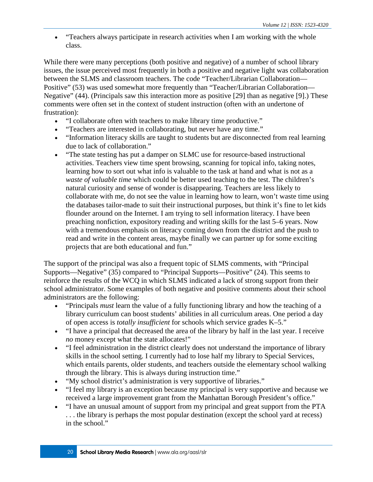• "Teachers always participate in research activities when I am working with the whole class.

While there were many perceptions (both positive and negative) of a number of school library issues, the issue perceived most frequently in both a positive and negative light was collaboration between the SLMS and classroom teachers. The code "Teacher/Librarian Collaboration— Positive" (53) was used somewhat more frequently than "Teacher/Librarian Collaboration— Negative" (44). (Principals saw this interaction more as positive [29] than as negative [9].) These comments were often set in the context of student instruction (often with an undertone of frustration):

- "I collaborate often with teachers to make library time productive."
- "Teachers are interested in collaborating, but never have any time."
- "Information literacy skills are taught to students but are disconnected from real learning due to lack of collaboration."
- "The state testing has put a damper on SLMC use for resource-based instructional activities. Teachers view time spent browsing, scanning for topical info, taking notes, learning how to sort out what info is valuable to the task at hand and what is not as a *waste of valuable time* which could be better used teaching to the test. The children's natural curiosity and sense of wonder is disappearing. Teachers are less likely to collaborate with me, do not see the value in learning how to learn, won't waste time using the databases tailor-made to suit their instructional purposes, but think it's fine to let kids flounder around on the Internet. I am trying to sell information literacy. I have been preaching nonfiction, expository reading and writing skills for the last 5–6 years. Now with a tremendous emphasis on literacy coming down from the district and the push to read and write in the content areas, maybe finally we can partner up for some exciting projects that are both educational and fun."

The support of the principal was also a frequent topic of SLMS comments, with "Principal Supports—Negative" (35) compared to "Principal Supports—Positive" (24). This seems to reinforce the results of the WCQ in which SLMS indicated a lack of strong support from their school administrator. Some examples of both negative and positive comments about their school administrators are the following:

- "Principals *must* learn the value of a fully functioning library and how the teaching of a library curriculum can boost students' abilities in all curriculum areas. One period a day of open access is *totally insufficient* for schools which service grades K–5."
- "I have a principal that decreased the area of the library by half in the last year. I receive *no* money except what the state allocates!"
- "I feel administration in the district clearly does not understand the importance of library skills in the school setting. I currently had to lose half my library to Special Services, which entails parents, older students, and teachers outside the elementary school walking through the library. This is always during instruction time."
- "My school district's administration is very supportive of libraries."
- "I feel my library is an exception because my principal is very supportive and because we received a large improvement grant from the Manhattan Borough President's office."
- "I have an unusual amount of support from my principal and great support from the PTA . . . the library is perhaps the most popular destination (except the school yard at recess) in the school."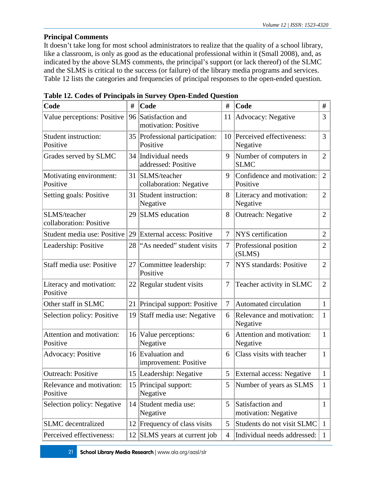#### **Principal Comments**

It doesn't take long for most school administrators to realize that the quality of a school library, like a classroom, is only as good as the educational professional within it (Small 2008), and, as indicated by the above SLMS comments, the principal's support (or lack thereof) of the SLMC and the SLMS is critical to the success (or failure) of the library media programs and services. Table 12 lists the categories and frequencies of principal responses to the open-ended question.

| Code                                    | #  | Code                                       | #              | Code                                     | #              |
|-----------------------------------------|----|--------------------------------------------|----------------|------------------------------------------|----------------|
| Value perceptions: Positive             | 96 | Satisfaction and<br>motivation: Positive   | 11             | Advocacy: Negative                       | 3              |
| Student instruction:<br>Positive        |    | 35 Professional participation:<br>Positive | 10             | Perceived effectiveness:<br>Negative     | 3              |
| Grades served by SLMC                   |    | 34 Individual needs<br>addressed: Positive | 9              | Number of computers in<br><b>SLMC</b>    | $\overline{2}$ |
| Motivating environment:<br>Positive     |    | 31 SLMS/teacher<br>collaboration: Negative | 9              | Confidence and motivation:<br>Positive   | 2              |
| Setting goals: Positive                 | 31 | Student instruction:<br>Negative           | 8              | Literacy and motivation:<br>Negative     | $\overline{2}$ |
| SLMS/teacher<br>collaboration: Positive | 29 | <b>SLMS</b> education                      | 8              | Outreach: Negative                       | $\overline{2}$ |
| Student media use: Positive             |    | 29 External access: Positive               | $\tau$         | <b>NYS</b> certification                 | $\overline{2}$ |
| Leadership: Positive                    | 28 | "As needed" student visits                 | $\tau$         | Professional position<br>(SLMS)          | $\overline{2}$ |
| Staff media use: Positive               | 27 | Committee leadership:<br>Positive          | 7              | NYS standards: Positive                  | $\overline{2}$ |
| Literacy and motivation:<br>Positive    |    | 22 Regular student visits                  | $\tau$         | Teacher activity in SLMC                 | $\overline{2}$ |
| Other staff in SLMC                     |    | 21 Principal support: Positive             | $\tau$         | Automated circulation                    | $\mathbf{1}$   |
| Selection policy: Positive              | 19 | Staff media use: Negative                  | 6              | Relevance and motivation:<br>Negative    | $\mathbf{1}$   |
| Attention and motivation:<br>Positive   | 16 | Value perceptions:<br>Negative             | 6              | Attention and motivation:<br>Negative    | $\mathbf{1}$   |
| <b>Advocacy: Positive</b>               |    | 16 Evaluation and<br>improvement: Positive | 6              | Class visits with teacher                | $\mathbf{1}$   |
| <b>Outreach: Positive</b>               |    | 15 Leadership: Negative                    | 5 <sup>1</sup> | External access: Negative                | $\mathbf{1}$   |
| Relevance and motivation:<br>Positive   | 15 | Principal support:<br>Negative             | 5              | Number of years as SLMS                  | $\mathbf{1}$   |
| Selection policy: Negative              |    | 14 Student media use:<br>Negative          | 5              | Satisfaction and<br>motivation: Negative | $\mathbf{1}$   |
| <b>SLMC</b> decentralized               | 12 | Frequency of class visits                  | 5              | Students do not visit SLMC               | $\mathbf{1}$   |
| Perceived effectiveness:                |    | 12 SLMS years at current job               | $\overline{4}$ | Individual needs addressed:              | 1              |

|  |  |  | Table 12. Codes of Principals in Survey Open-Ended Question |  |
|--|--|--|-------------------------------------------------------------|--|
|  |  |  |                                                             |  |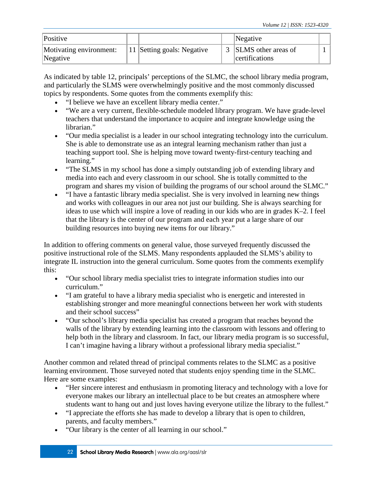| Positive                            |                                         | Negative                                |  |
|-------------------------------------|-----------------------------------------|-----------------------------------------|--|
| Motivating environment:<br>Negative | <sup>1</sup> 11 Setting goals: Negative | 3 SLMS other areas of<br>certifications |  |

As indicated by table 12, principals' perceptions of the SLMC, the school library media program, and particularly the SLMS were overwhelmingly positive and the most commonly discussed topics by respondents. Some quotes from the comments exemplify this:

- "I believe we have an excellent library media center."
- "We are a very current, flexible-schedule modeled library program. We have grade-level teachers that understand the importance to acquire and integrate knowledge using the librarian."
- "Our media specialist is a leader in our school integrating technology into the curriculum. She is able to demonstrate use as an integral learning mechanism rather than just a teaching support tool. She is helping move toward twenty-first-century teaching and learning."
- "The SLMS in my school has done a simply outstanding job of extending library and media into each and every classroom in our school. She is totally committed to the program and shares my vision of building the programs of our school around the SLMC."
- "I have a fantastic library media specialist. She is very involved in learning new things and works with colleagues in our area not just our building. She is always searching for ideas to use which will inspire a love of reading in our kids who are in grades K–2. I feel that the library is the center of our program and each year put a large share of our building resources into buying new items for our library."

In addition to offering comments on general value, those surveyed frequently discussed the positive instructional role of the SLMS. Many respondents applauded the SLMS's ability to integrate IL instruction into the general curriculum. Some quotes from the comments exemplify this:

- "Our school library media specialist tries to integrate information studies into our curriculum."
- "I am grateful to have a library media specialist who is energetic and interested in establishing stronger and more meaningful connections between her work with students and their school success"
- "Our school's library media specialist has created a program that reaches beyond the walls of the library by extending learning into the classroom with lessons and offering to help both in the library and classroom. In fact, our library media program is so successful, I can't imagine having a library without a professional library media specialist."

Another common and related thread of principal comments relates to the SLMC as a positive learning environment. Those surveyed noted that students enjoy spending time in the SLMC. Here are some examples:

- "Her sincere interest and enthusiasm in promoting literacy and technology with a love for everyone makes our library an intellectual place to be but creates an atmosphere where students want to hang out and just loves having everyone utilize the library to the fullest."
- "I appreciate the efforts she has made to develop a library that is open to children, parents, and faculty members."
- "Our library is the center of all learning in our school."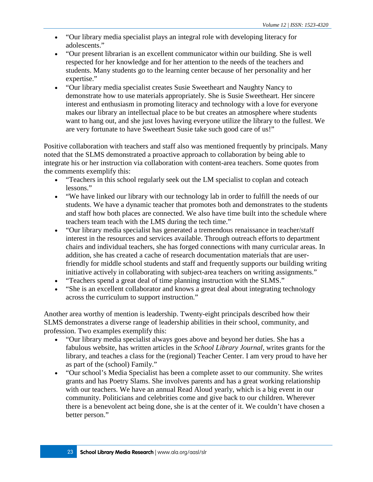- "Our library media specialist plays an integral role with developing literacy for adolescents."
- "Our present librarian is an excellent communicator within our building. She is well respected for her knowledge and for her attention to the needs of the teachers and students. Many students go to the learning center because of her personality and her expertise."
- "Our library media specialist creates Susie Sweetheart and Naughty Nancy to demonstrate how to use materials appropriately. She is Susie Sweetheart. Her sincere interest and enthusiasm in promoting literacy and technology with a love for everyone makes our library an intellectual place to be but creates an atmosphere where students want to hang out, and she just loves having everyone utilize the library to the fullest. We are very fortunate to have Sweetheart Susie take such good care of us!"

Positive collaboration with teachers and staff also was mentioned frequently by principals. Many noted that the SLMS demonstrated a proactive approach to collaboration by being able to integrate his or her instruction via collaboration with content-area teachers. Some quotes from the comments exemplify this:

- "Teachers in this school regularly seek out the LM specialist to coplan and coteach lessons."
- "We have linked our library with our technology lab in order to fulfill the needs of our students. We have a dynamic teacher that promotes both and demonstrates to the students and staff how both places are connected. We also have time built into the schedule where teachers team teach with the LMS during the tech time."
- "Our library media specialist has generated a tremendous renaissance in teacher/staff interest in the resources and services available. Through outreach efforts to department chairs and individual teachers, she has forged connections with many curricular areas. In addition, she has created a cache of research documentation materials that are userfriendly for middle school students and staff and frequently supports our building writing initiative actively in collaborating with subject-area teachers on writing assignments."
- "Teachers spend a great deal of time planning instruction with the SLMS."
- "She is an excellent collaborator and knows a great deal about integrating technology across the curriculum to support instruction."

Another area worthy of mention is leadership. Twenty-eight principals described how their SLMS demonstrates a diverse range of leadership abilities in their school, community, and profession. Two examples exemplify this:

- "Our library media specialist always goes above and beyond her duties. She has a fabulous website, has written articles in the *School Library Journal*, writes grants for the library, and teaches a class for the (regional) Teacher Center. I am very proud to have her as part of the (school) Family."
- "Our school's Media Specialist has been a complete asset to our community. She writes grants and has Poetry Slams. She involves parents and has a great working relationship with our teachers. We have an annual Read Aloud yearly, which is a big event in our community. Politicians and celebrities come and give back to our children. Wherever there is a benevolent act being done, she is at the center of it. We couldn't have chosen a better person."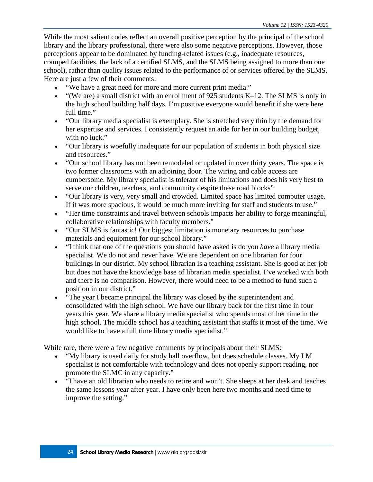While the most salient codes reflect an overall positive perception by the principal of the school library and the library professional, there were also some negative perceptions. However, those perceptions appear to be dominated by funding-related issues (e.g., inadequate resources, cramped facilities, the lack of a certified SLMS, and the SLMS being assigned to more than one school), rather than quality issues related to the performance of or services offered by the SLMS. Here are just a few of their comments:

- "We have a great need for more and more current print media."
- "(We are) a small district with an enrollment of 925 students  $K-12$ . The SLMS is only in the high school building half days. I'm positive everyone would benefit if she were here full time."
- "Our library media specialist is exemplary. She is stretched very thin by the demand for her expertise and services. I consistently request an aide for her in our building budget, with no luck."
- "Our library is woefully inadequate for our population of students in both physical size and resources."
- "Our school library has not been remodeled or updated in over thirty years. The space is two former classrooms with an adjoining door. The wiring and cable access are cumbersome. My library specialist is tolerant of his limitations and does his very best to serve our children, teachers, and community despite these road blocks"
- "Our library is very, very small and crowded. Limited space has limited computer usage. If it was more spacious, it would be much more inviting for staff and students to use."
- "Her time constraints and travel between schools impacts her ability to forge meaningful, collaborative relationships with faculty members."
- "Our SLMS is fantastic! Our biggest limitation is monetary resources to purchase materials and equipment for our school library."
- "I think that one of the questions you should have asked is do you *have* a library media specialist. We do not and never have. We are dependent on one librarian for four buildings in our district. My school librarian is a teaching assistant. She is good at her job but does not have the knowledge base of librarian media specialist. I've worked with both and there is no comparison. However, there would need to be a method to fund such a position in our district."
- "The year I became principal the library was closed by the superintendent and consolidated with the high school. We have our library back for the first time in four years this year. We share a library media specialist who spends most of her time in the high school. The middle school has a teaching assistant that staffs it most of the time. We would like to have a full time library media specialist."

While rare, there were a few negative comments by principals about their SLMS:

- "My library is used daily for study hall overflow, but does schedule classes. My LM specialist is not comfortable with technology and does not openly support reading, nor promote the SLMC in any capacity."
- "I have an old librarian who needs to retire and won't. She sleeps at her desk and teaches the same lessons year after year. I have only been here two months and need time to improve the setting."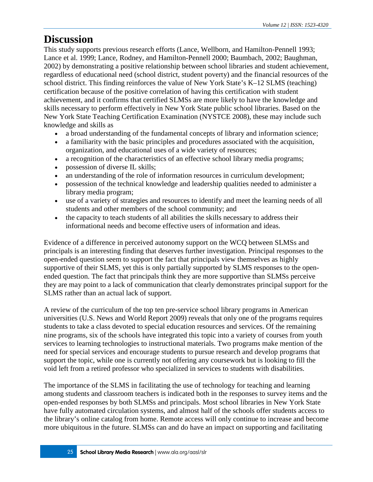### **Discussion**

This study supports previous research efforts (Lance, Wellborn, and Hamilton-Pennell 1993; Lance et al. 1999; Lance, Rodney, and Hamilton-Pennell 2000; Baumbach, 2002; Baughman, 2002) by demonstrating a positive relationship between school libraries and student achievement, regardless of educational need (school district, student poverty) and the financial resources of the school district. This finding reinforces the value of New York State's K–12 SLMS (teaching) certification because of the positive correlation of having this certification with student achievement, and it confirms that certified SLMSs are more likely to have the knowledge and skills necessary to perform effectively in New York State public school libraries. Based on the New York State Teaching Certification Examination (NYSTCE 2008), these may include such knowledge and skills as

- a broad understanding of the fundamental concepts of library and information science;
- a familiarity with the basic principles and procedures associated with the acquisition, organization, and educational uses of a wide variety of resources;
- a recognition of the characteristics of an effective school library media programs;
- possession of diverse IL skills;
- an understanding of the role of information resources in curriculum development;
- possession of the technical knowledge and leadership qualities needed to administer a library media program;
- use of a variety of strategies and resources to identify and meet the learning needs of all students and other members of the school community; and
- the capacity to teach students of all abilities the skills necessary to address their informational needs and become effective users of information and ideas.

Evidence of a difference in perceived autonomy support on the WCQ between SLMSs and principals is an interesting finding that deserves further investigation. Principal responses to the open-ended question seem to support the fact that principals view themselves as highly supportive of their SLMS, yet this is only partially supported by SLMS responses to the openended question. The fact that principals think they are more supportive than SLMSs perceive they are may point to a lack of communication that clearly demonstrates principal support for the SLMS rather than an actual lack of support.

A review of the curriculum of the top ten pre-service school library programs in American universities (U.S. News and World Report 2009) reveals that only one of the programs requires students to take a class devoted to special education resources and services. Of the remaining nine programs, six of the schools have integrated this topic into a variety of courses from youth services to learning technologies to instructional materials. Two programs make mention of the need for special services and encourage students to pursue research and develop programs that support the topic, while one is currently not offering any coursework but is looking to fill the void left from a retired professor who specialized in services to students with disabilities.

The importance of the SLMS in facilitating the use of technology for teaching and learning among students and classroom teachers is indicated both in the responses to survey items and the open-ended responses by both SLMSs and principals. Most school libraries in New York State have fully automated circulation systems, and almost half of the schools offer students access to the library's online catalog from home. Remote access will only continue to increase and become more ubiquitous in the future. SLMSs can and do have an impact on supporting and facilitating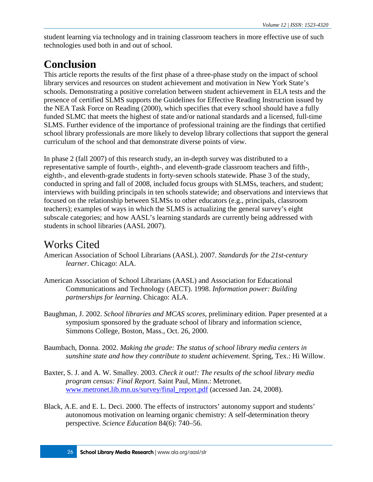student learning via technology and in training classroom teachers in more effective use of such technologies used both in and out of school.

# **Conclusion**

This article reports the results of the first phase of a three-phase study on the impact of school library services and resources on student achievement and motivation in New York State's schools. Demonstrating a positive correlation between student achievement in ELA tests and the presence of certified SLMS supports the Guidelines for Effective Reading Instruction issued by the NEA Task Force on Reading (2000), which specifies that every school should have a fully funded SLMC that meets the highest of state and/or national standards and a licensed, full-time SLMS. Further evidence of the importance of professional training are the findings that certified school library professionals are more likely to develop library collections that support the general curriculum of the school and that demonstrate diverse points of view.

In phase 2 (fall 2007) of this research study, an in-depth survey was distributed to a representative sample of fourth-, eighth-, and eleventh-grade classroom teachers and fifth-, eighth-, and eleventh-grade students in forty-seven schools statewide. Phase 3 of the study, conducted in spring and fall of 2008, included focus groups with SLMSs, teachers, and student; interviews with building principals in ten schools statewide; and observations and interviews that focused on the relationship between SLMSs to other educators (e.g., principals, classroom teachers); examples of ways in which the SLMS is actualizing the general survey's eight subscale categories; and how AASL's learning standards are currently being addressed with students in school libraries (AASL 2007).

# Works Cited

- American Association of School Librarians (AASL). 2007. *Standards for the 21st-century learner*. Chicago: ALA.
- American Association of School Librarians (AASL) and Association for Educational Communications and Technology (AECT). 1998. *Information power: Building partnerships for learning*. Chicago: ALA.
- Baughman, J. 2002. *School libraries and MCAS scores*, preliminary edition. Paper presented at a symposium sponsored by the graduate school of library and information science, Simmons College, Boston, Mass., Oct. 26, 2000.
- Baumbach, Donna. 2002. *Making the grade: The status of school library media centers in sunshine state and how they contribute to student achievement*. Spring, Tex.: Hi Willow.
- Baxter, S. J. and A. W. Smalley. 2003. *Check it out!: The results of the school library media program census: Final Report*. Saint Paul, Minn.: Metronet. [www.metronet.lib.mn.us/survey/final\\_report.pdf](http://www.metronet.lib.mn.us/survey/final_report.pdf) (accessed Jan. 24, 2008).
- Black, A.E. and E. L. Deci. 2000. The effects of instructors' autonomy support and students' autonomous motivation on learning organic chemistry: A self-determination theory perspective. *Science Education* 84(6): 740–56.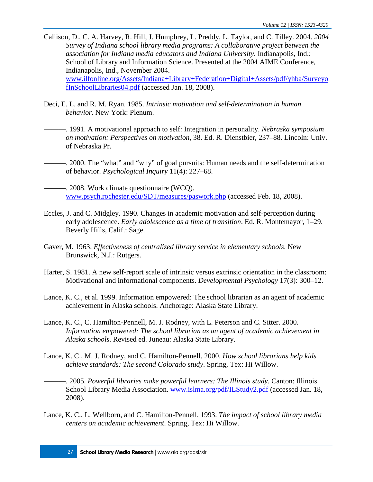- Callison, D., C. A. Harvey, R. Hill, J. Humphrey, L. Preddy, L. Taylor, and C. Tilley. 2004. *2004 Survey of Indiana school library media programs: A collaborative project between the association for Indiana media educators and Indiana University*. Indianapolis, Ind.: School of Library and Information Science. Presented at the 2004 AIME Conference, Indianapolis, Ind., November 2004. [www.ilfonline.org/Assets/Indiana+Library+Federation+Digital+Assets/pdf/yhba/Surveyo](http://www.ilfonline.org/Assets/Indiana+Library+Federation+Digital+Assets/pdf/yhba/SurveyofInSchoolLibraries04.pdf) [fInSchoolLibraries04.pdf](http://www.ilfonline.org/Assets/Indiana+Library+Federation+Digital+Assets/pdf/yhba/SurveyofInSchoolLibraries04.pdf) (accessed Jan. 18, 2008).
- Deci, E. L. and R. M. Ryan. 1985. *Intrinsic motivation and self-determination in human behavior*. New York: Plenum.
	- ———. 1991. A motivational approach to self: Integration in personality. *Nebraska symposium on motivation: Perspectives on motivation*, 38. Ed. R. Dienstbier, 237–88. Lincoln: Univ. of Nebraska Pr.
- 2000. The "what" and "why" of goal pursuits: Human needs and the self-determination of behavior. *Psychological Inquiry* 11(4): 227–68.
- $-$ . 2008. Work climate questionnaire (WCO). [www.psych.rochester.edu/SDT/measures/paswork.php](http://www.psych.rochester.edu/SDT/measures/paswork.php) (accessed Feb. 18, 2008).
- Eccles, J. and C. Midgley. 1990. Changes in academic motivation and self-perception during early adolescence. *Early adolescence as a time of transition*. Ed. R. Montemayor, 1–29. Beverly Hills, Calif.: Sage.
- Gaver, M. 1963. *Effectiveness of centralized library service in elementary schools*. New Brunswick, N.J.: Rutgers.
- Harter, S. 1981. A new self-report scale of intrinsic versus extrinsic orientation in the classroom: Motivational and informational components. *Developmental Psychology* 17(3): 300–12.
- Lance, K. C., et al. 1999. Information empowered: The school librarian as an agent of academic achievement in Alaska schools. Anchorage: Alaska State Library.
- Lance, K. C., C. Hamilton-Pennell, M. J. Rodney, with L. Peterson and C. Sitter. 2000. *Information empowered: The school librarian as an agent of academic achievement in Alaska schools*. Revised ed. Juneau: Alaska State Library.
- Lance, K. C., M. J. Rodney, and C. Hamilton-Pennell. 2000. *How school librarians help kids achieve standards: The second Colorado study*. Spring, Tex: Hi Willow.
	- ———. 2005. *Powerful libraries make powerful learners: The Illinois study*. Canton: Illinois School Library Media Association. [www.islma.org/pdf/ILStudy2.pdf](http://www.islma.org/pdf/ILStudy2.pdf) (accessed Jan. 18, 2008).
- Lance, K. C., L. Wellborn, and C. Hamilton-Pennell. 1993. *The impact of school library media centers on academic achievement*. Spring, Tex: Hi Willow.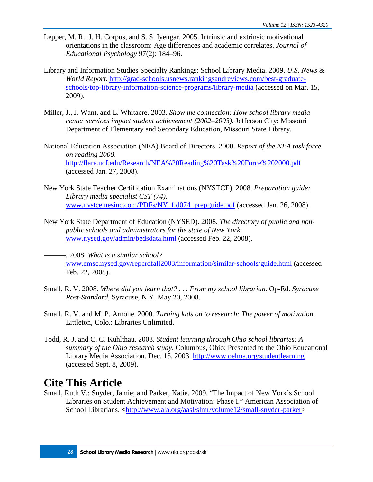- Lepper, M. R., J. H. Corpus, and S. S. Iyengar. 2005. Intrinsic and extrinsic motivational orientations in the classroom: Age differences and academic correlates. *Journal of Educational Psychology* 97(2): 184–96.
- Library and Information Studies Specialty Rankings: School Library Media. 2009. *U.S. News & World Report*. [http://grad-schools.usnews.rankingsandreviews.com/best-graduate](http://grad-schools.usnews.rankingsandreviews.com/best-graduate-schools/top-library-information-science-programs/library-media)[schools/top-library-information-science-programs/library-media](http://grad-schools.usnews.rankingsandreviews.com/best-graduate-schools/top-library-information-science-programs/library-media) (accessed on Mar. 15, 2009).
- Miller, J., J. Want, and L. Whitacre. 2003. *Show me connection: How school library media center services impact student achievement (2002–2003)*. Jefferson City: Missouri Department of Elementary and Secondary Education, Missouri State Library.
- National Education Association (NEA) Board of Directors. 2000. *Report of the NEA task force on reading 2000*. <http://flare.ucf.edu/Research/NEA%20Reading%20Task%20Force%202000.pdf> (accessed Jan. 27, 2008).
- New York State Teacher Certification Examinations (NYSTCE). 2008. *Preparation guide: Library media specialist CST (74)*. [www.nystce.nesinc.com/PDFs/NY\\_fld074\\_prepguide.pdf](http://www.nystce.nesinc.com/PDFs/NY_fld074_prepguide.pdf) (accessed Jan. 26, 2008).
- New York State Department of Education (NYSED). 2008. *The directory of public and nonpublic schools and administrators for the state of New York*. [www.nysed.gov/admin/bedsdata.html](http://www.nysed.gov/admin/bedsdata.html) (accessed Feb. 22, 2008).

———. 2008. *What is a similar school?* [www.emsc.nysed.gov/repcrdfall2003/information/similar-schools/guide.html](http://www.emsc.nysed.gov/repcrdfall2003/information/similar-schools/guide.html) (accessed Feb. 22, 2008).

- Small, R. V. 2008. *Where did you learn that? . . . From my school librarian*. Op-Ed. *Syracuse Post-Standard*, Syracuse, N.Y. May 20, 2008.
- Small, R. V. and M. P. Arnone. 2000. *Turning kids on to research: The power of motivation*. Littleton, Colo.: Libraries Unlimited.
- Todd, R. J. and C. C. Kuhlthau. 2003. *Student learning through Ohio school libraries: A summary of the Ohio research study*. Columbus, Ohio: Presented to the Ohio Educational Library Media Association. Dec. 15, 2003. [http://www.oelma.org/studentlearning](http://www.oelma.org/studentlearning/) (accessed Sept. 8, 2009).

### **Cite This Article**

Small, Ruth V.; Snyder, Jamie; and Parker, Katie. 2009. "The Impact of New York's School Libraries on Student Achievement and Motivation: Phase I." American Association of School Librarians. **<**http://www.ala.org/aasl/slmr/volume12/small-snyder-parker>